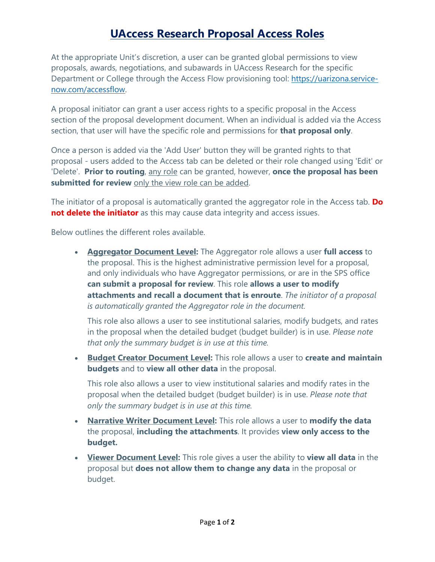## **UAccess Research Proposal Access Roles**

At the appropriate Unit's discretion, a user can be granted global permissions to view proposals, awards, negotiations, and subawards in UAccess Research for the specific Department or College through the Access Flow provisioning tool: [https://uarizona.service](https://uarizona.service-now.com/accessflow)[now.com/accessflow.](https://uarizona.service-now.com/accessflow)

A proposal initiator can grant a user access rights to a specific proposal in the Access section of the proposal development document. When an individual is added via the Access section, that user will have the specific role and permissions for **that proposal only**.

Once a person is added via the 'Add User' button they will be granted rights to that proposal - users added to the Access tab can be deleted or their role changed using 'Edit' or 'Delete'. **Prior to routing**, any role can be granted, however, **once the proposal has been**  submitted for review only the view role can be added.

The initiator of a proposal is automatically granted the aggregator role in the Access tab. **Do not delete the initiator** as this may cause data integrity and access issues.

Below outlines the different roles available.

• **Aggregator Document Level:** The Aggregator role allows a user **full access** to the proposal. This is the highest administrative permission level for a proposal, and only individuals who have Aggregator permissions, or are in the SPS office **can submit a proposal for review**. This role **allows a user to modify attachments and recall a document that is enroute**. *The initiator of a proposal is automatically granted the Aggregator role in the document.*

This role also allows a user to see institutional salaries, modify budgets, and rates in the proposal when the detailed budget (budget builder) is in use. *Please note that only the summary budget is in use at this time.*

• **Budget Creator Document Level:** This role allows a user to **create and maintain budgets** and to **view all other data** in the proposal.

This role also allows a user to view institutional salaries and modify rates in the proposal when the detailed budget (budget builder) is in use. *Please note that only the summary budget is in use at this time.* 

- **Narrative Writer Document Level:** This role allows a user to **modify the data**  the proposal, **including the attachments**. It provides **view only access to the budget.**
- **Viewer Document Level:** This role gives a user the ability to **view all data** in the proposal but **does not allow them to change any data** in the proposal or budget.